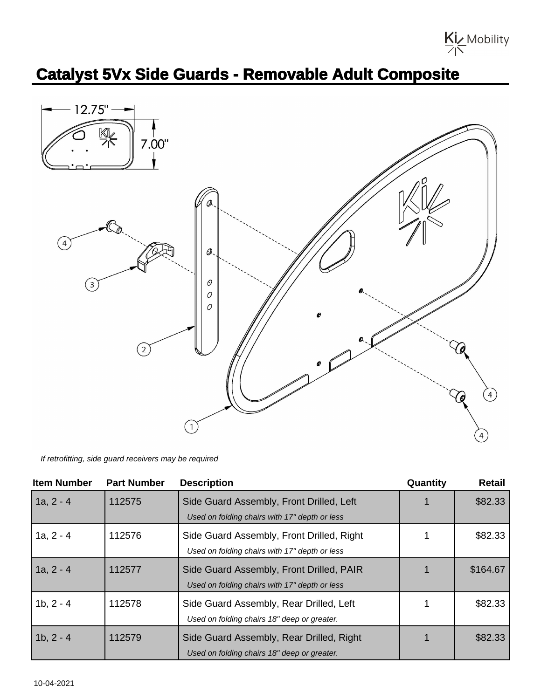

## **Catalyst 5Vx Side Guards - Removable Adult Composite**



If retrofitting, side guard receivers may be required

| <b>Item Number</b> | <b>Part Number</b> | <b>Description</b>                                                                         | Quantity | <b>Retail</b> |
|--------------------|--------------------|--------------------------------------------------------------------------------------------|----------|---------------|
| $1a, 2 - 4$        | 112575             | Side Guard Assembly, Front Drilled, Left<br>Used on folding chairs with 17" depth or less  |          | \$82.33       |
| 1a, $2 - 4$        | 112576             | Side Guard Assembly, Front Drilled, Right<br>Used on folding chairs with 17" depth or less |          | \$82.33       |
| $1a, 2 - 4$        | 112577             | Side Guard Assembly, Front Drilled, PAIR<br>Used on folding chairs with 17" depth or less  |          | \$164.67      |
| $1b, 2 - 4$        | 112578             | Side Guard Assembly, Rear Drilled, Left<br>Used on folding chairs 18" deep or greater.     |          | \$82.33       |
| $1b, 2 - 4$        | 112579             | Side Guard Assembly, Rear Drilled, Right<br>Used on folding chairs 18" deep or greater.    |          | \$82.33       |